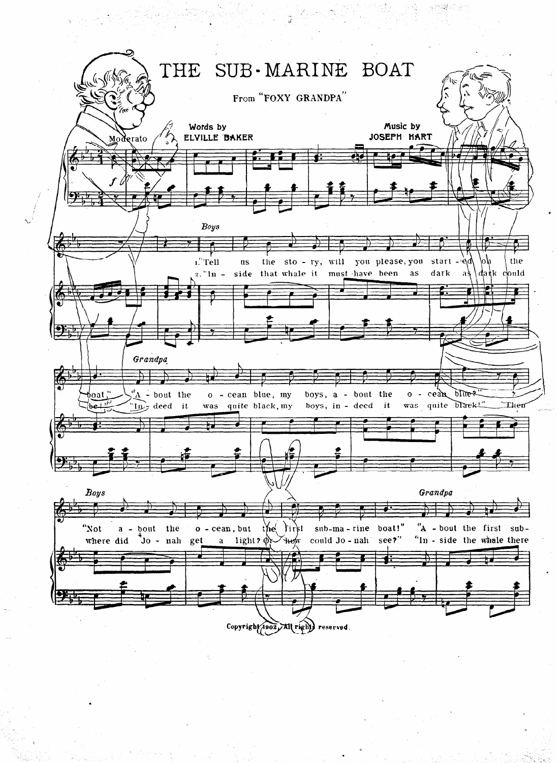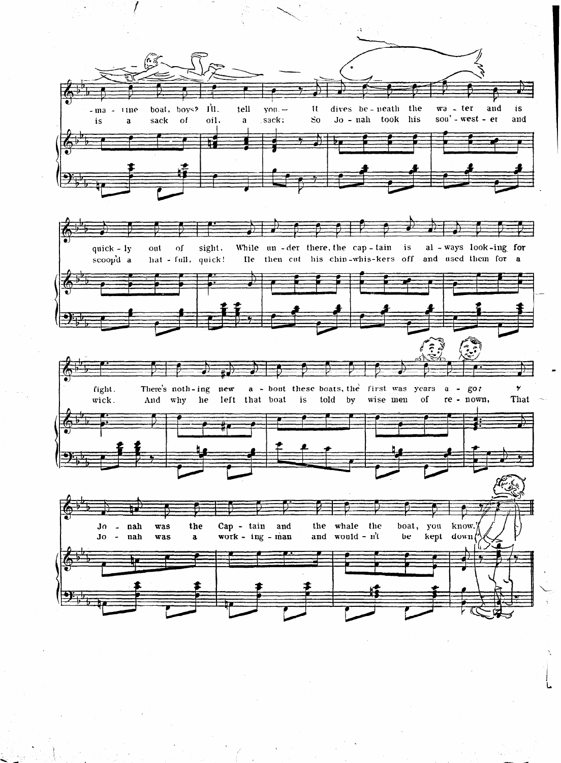